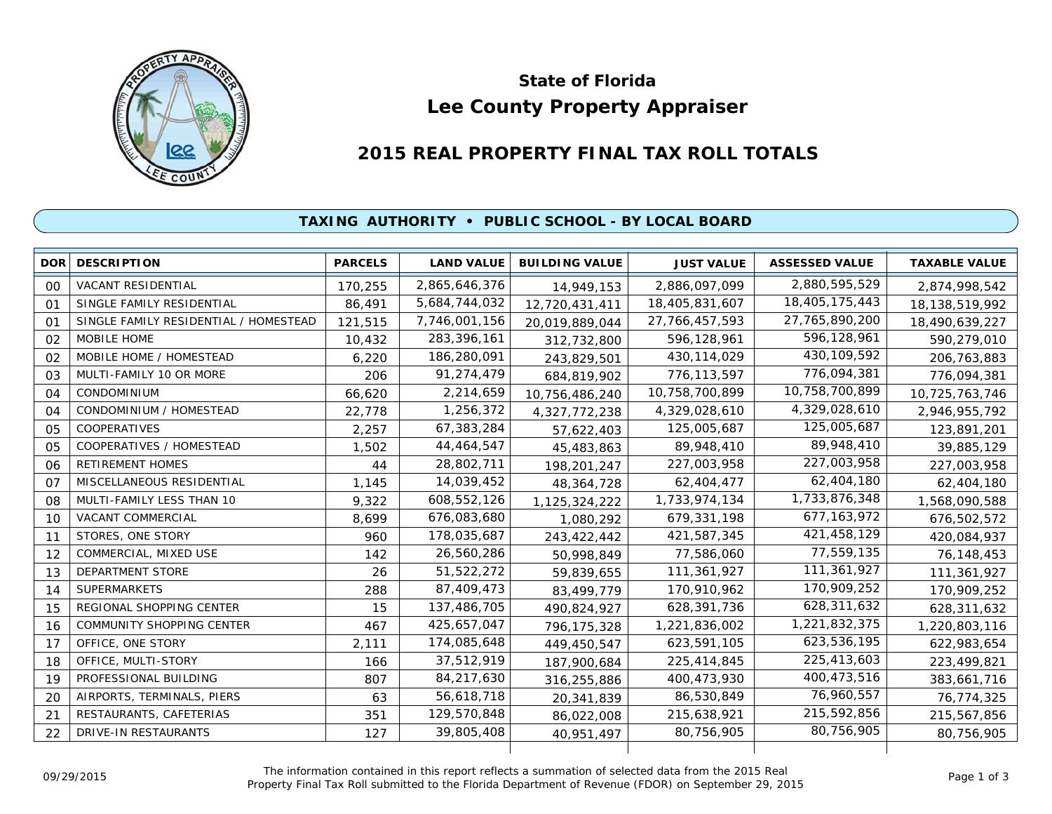

# **Lee County Property Appraiser State of Florida**

# **2015 REAL PROPERTY FINAL TAX ROLL TOTALS**

## **TAXING AUTHORITY • PUBLIC SCHOOL - BY LOCAL BOARD**

| <b>DOR</b> | <b>DESCRIPTION</b>                    | <b>PARCELS</b> | <b>LAND VALUE</b> | <b>BUILDING VALUE</b> | <b>JUST VALUE</b> | <b>ASSESSED VALUE</b> | <b>TAXABLE VALUE</b> |
|------------|---------------------------------------|----------------|-------------------|-----------------------|-------------------|-----------------------|----------------------|
| 00         | <b>VACANT RESIDENTIAL</b>             | 170,255        | 2,865,646,376     | 14,949,153            | 2,886,097,099     | 2,880,595,529         | 2,874,998,542        |
| 01         | SINGLE FAMILY RESIDENTIAL             | 86,491         | 5,684,744,032     | 12,720,431,411        | 18,405,831,607    | 18,405,175,443        | 18, 138, 519, 992    |
| 01         | SINGLE FAMILY RESIDENTIAL / HOMESTEAD | 121,515        | 7,746,001,156     | 20,019,889,044        | 27, 766, 457, 593 | 27,765,890,200        | 18,490,639,227       |
| 02         | MOBILE HOME                           | 10,432         | 283,396,161       | 312,732,800           | 596,128,961       | 596,128,961           | 590,279,010          |
| 02         | MOBILE HOME / HOMESTEAD               | 6,220          | 186,280,091       | 243,829,501           | 430, 114, 029     | 430, 109, 592         | 206,763,883          |
| 03         | MULTI-FAMILY 10 OR MORE               | 206            | 91,274,479        | 684,819,902           | 776,113,597       | 776,094,381           | 776,094,381          |
| 04         | CONDOMINIUM                           | 66,620         | 2,214,659         | 10,756,486,240        | 10,758,700,899    | 10,758,700,899        | 10,725,763,746       |
| 04         | CONDOMINIUM / HOMESTEAD               | 22,778         | 1,256,372         | 4,327,772,238         | 4,329,028,610     | 4,329,028,610         | 2,946,955,792        |
| 05         | <b>COOPERATIVES</b>                   | 2,257          | 67,383,284        | 57,622,403            | 125,005,687       | 125,005,687           | 123,891,201          |
| 05         | COOPERATIVES / HOMESTEAD              | 1,502          | 44,464,547        | 45,483,863            | 89,948,410        | 89,948,410            | 39,885,129           |
| 06         | <b>RETIREMENT HOMES</b>               | 44             | 28,802,711        | 198,201,247           | 227,003,958       | 227,003,958           | 227,003,958          |
| 07         | MISCELLANEOUS RESIDENTIAL             | 1,145          | 14,039,452        | 48,364,728            | 62,404,477        | 62,404,180            | 62,404,180           |
| 08         | MULTI-FAMILY LESS THAN 10             | 9,322          | 608,552,126       | 1,125,324,222         | 1,733,974,134     | 1,733,876,348         | 1,568,090,588        |
| 10         | VACANT COMMERCIAL                     | 8.699          | 676,083,680       | 1,080,292             | 679.331.198       | 677, 163, 972         | 676,502,572          |
| 11         | STORES, ONE STORY                     | 960            | 178,035,687       | 243,422,442           | 421,587,345       | 421,458,129           | 420,084,937          |
| 12         | COMMERCIAL, MIXED USE                 | 142            | 26,560,286        | 50,998,849            | 77,586,060        | 77,559,135            | 76,148,453           |
| 13         | DEPARTMENT STORE                      | 26             | 51,522,272        | 59,839,655            | 111,361,927       | 111,361,927           | 111,361,927          |
| 14         | <b>SUPERMARKETS</b>                   | 288            | 87,409,473        | 83.499.779            | 170,910,962       | 170,909,252           | 170,909,252          |
| 15         | REGIONAL SHOPPING CENTER              | 15             | 137,486,705       | 490,824,927           | 628,391,736       | 628,311,632           | 628,311,632          |
| 16         | <b>COMMUNITY SHOPPING CENTER</b>      | 467            | 425,657,047       | 796,175,328           | 1,221,836,002     | 1,221,832,375         | 1,220,803,116        |
| 17         | OFFICE, ONE STORY                     | 2,111          | 174,085,648       | 449,450,547           | 623,591,105       | 623,536,195           | 622,983,654          |
| 18         | OFFICE, MULTI-STORY                   | 166            | 37,512,919        | 187,900,684           | 225,414,845       | 225,413,603           | 223,499,821          |
| 19         | PROFESSIONAL BUILDING                 | 807            | 84,217,630        | 316,255,886           | 400,473,930       | 400,473,516           | 383,661,716          |
| 20         | AIRPORTS, TERMINALS, PIERS            | 63             | 56,618,718        | 20,341,839            | 86,530,849        | 76,960,557            | 76,774,325           |
| 21         | RESTAURANTS, CAFETERIAS               | 351            | 129,570,848       | 86,022,008            | 215,638,921       | 215,592,856           | 215,567,856          |
| 22         | DRIVE-IN RESTAURANTS                  | 127            | 39,805,408        | 40,951,497            | 80,756,905        | 80,756,905            | 80,756,905           |
|            |                                       |                |                   |                       |                   |                       |                      |

The information contained in this report reflects a summation of selected data from the 2015 Real Ine information contained in this report reflects a summation of selected data from the 2015 Real<br>Property Final Tax Roll submitted to the Florida Department of Revenue (FDOR) on September 29, 2015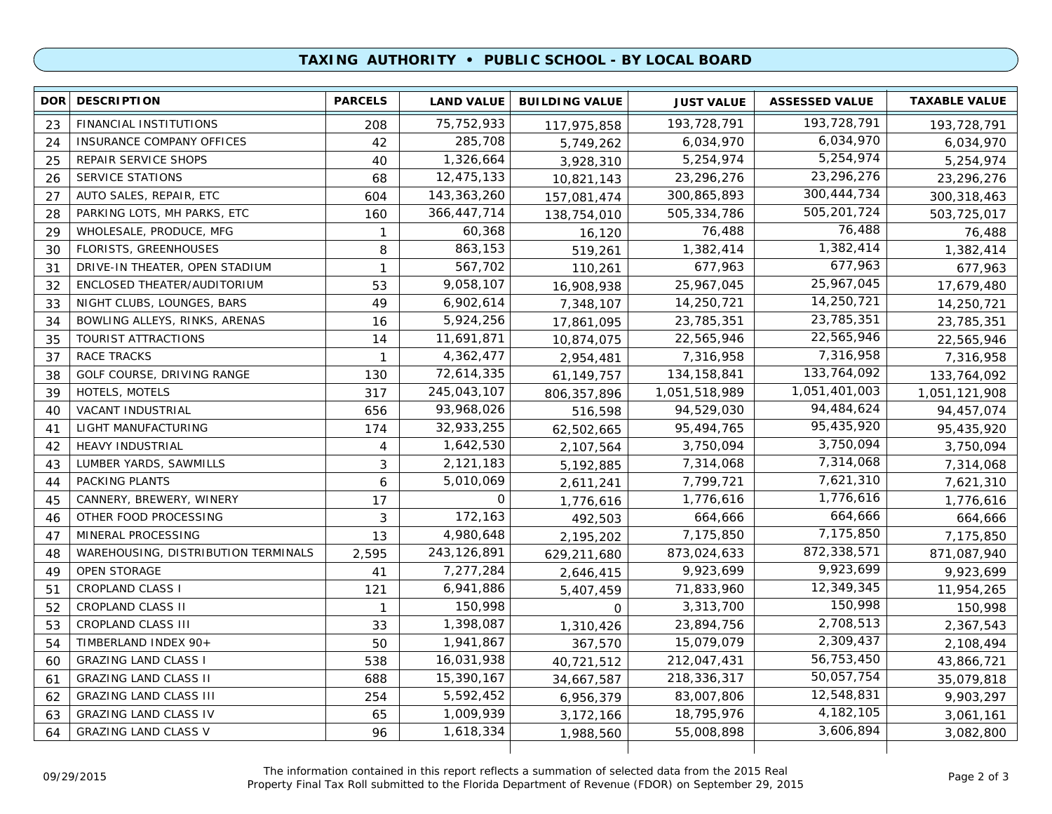### **TAXING AUTHORITY • PUBLIC SCHOOL - BY LOCAL BOARD**

| 193,728,791<br>75, 752, 933<br>193,728,791<br>FINANCIAL INSTITUTIONS<br>23<br>208<br>117,975,858<br>193,728,791<br>6,034,970<br>285,708<br>6,034,970<br>INSURANCE COMPANY OFFICES<br>42<br>24<br>5,749,262<br>6,034,970<br>5,254,974<br>1,326,664<br>5,254,974<br>25<br>REPAIR SERVICE SHOPS<br>40<br>5,254,974<br>3,928,310<br>23,296,276<br>12,475,133<br><b>SERVICE STATIONS</b><br>23,296,276<br>26<br>68<br>10,821,143<br>23,296,276<br>300,444,734<br>143, 363, 260<br>AUTO SALES, REPAIR, ETC<br>300,865,893<br>27<br>604<br>157,081,474<br>300, 318, 463<br>505,201,724<br>366,447,714<br>PARKING LOTS, MH PARKS, ETC<br>505,334,786<br>28<br>160<br>138,754,010<br>503,725,017<br>76,488<br>WHOLESALE, PRODUCE, MFG<br>60,368<br>29<br>76,488<br>$\mathbf{1}$<br>76,488<br>16,120<br>1,382,414<br>863,153<br>1,382,414<br><b>FLORISTS, GREENHOUSES</b><br>8<br>30<br>519,261<br>1,382,414<br>677,963<br>567,702<br>677,963<br>DRIVE-IN THEATER, OPEN STADIUM<br>31<br>$\mathbf{1}$<br>677,963<br>110,261<br>25,967,045<br>53<br>9,058,107<br>25,967,045<br>32<br>ENCLOSED THEATER/AUDITORIUM<br>17,679,480<br>16,908,938<br>14,250,721<br>NIGHT CLUBS, LOUNGES, BARS<br>49<br>6,902,614<br>14,250,721<br>33<br>14,250,721<br>7,348,107<br>23,785,351<br>5,924,256<br>BOWLING ALLEYS, RINKS, ARENAS<br>23,785,351<br>34<br>16<br>23,785,351<br>17,861,095<br>22,565,946<br>11,691,871<br>TOURIST ATTRACTIONS<br>22,565,946<br>35<br>14<br>22,565,946<br>10,874,075<br>7,316,958<br>4,362,477<br>37<br><b>RACE TRACKS</b><br>7,316,958<br>7,316,958<br>$\mathbf{1}$<br>2,954,481<br>133,764,092<br>72,614,335<br>GOLF COURSE, DRIVING RANGE<br>134,158,841<br>38<br>133,764,092<br>130<br>61,149,757<br>1,051,401,003<br>HOTELS, MOTELS<br>317<br>245,043,107<br>1,051,518,989<br>39<br>806, 357, 896<br>1,051,121,908<br>94,484,624<br><b>VACANT INDUSTRIAL</b><br>93,968,026<br>94,529,030<br>40<br>656<br>94,457,074<br>516,598<br>95,435,920<br>32,933,255<br>95,494,765<br>41<br>LIGHT MANUFACTURING<br>174<br>95,435,920<br>62,502,665<br>3,750,094<br>1,642,530<br>3,750,094<br>42<br><b>HEAVY INDUSTRIAL</b><br>3,750,094<br>4<br>2,107,564<br>7,314,068<br>LUMBER YARDS, SAWMILLS<br>2,121,183<br>43<br>3<br>7,314,068<br>5,192,885<br>7,314,068<br>7,621,310<br>PACKING PLANTS<br>5,010,069<br>7,799,721<br>6<br>44<br>7,621,310<br>2,611,241<br>1,776,616<br>$\mathbf 0$<br>CANNERY, BREWERY, WINERY<br>1,776,616<br>45<br>17<br>1,776,616<br>1,776,616<br>664,666<br>172,163<br>3<br>OTHER FOOD PROCESSING<br>664,666<br>46<br>664,666<br>492,503<br>7,175,850<br>4,980,648<br>MINERAL PROCESSING<br>7,175,850<br>47<br>13<br>7,175,850<br>2,195,202<br>872,338,571<br>243, 126, 891<br>873,024,633<br>WAREHOUSING, DISTRIBUTION TERMINALS<br>2,595<br>871,087,940<br>48<br>629,211,680<br>9,923,699<br>7,277,284<br>9,923,699<br><b>OPEN STORAGE</b><br>49<br>41<br>9,923,699<br>2,646,415<br>12,349,345<br><b>CROPLAND CLASS I</b><br>6,941,886<br>71,833,960<br>51<br>121<br>11,954,265<br>5,407,459<br>150,998<br>CROPLAND CLASS II<br>150,998<br>3,313,700<br>52<br>150,998<br>$\mathbf{1}$<br>$\Omega$<br>2,708,513<br>1,398,087<br>53<br>CROPLAND CLASS III<br>23,894,756<br>2,367,543<br>33<br>1,310,426<br>2,309,437<br>TIMBERLAND INDEX 90+<br>1,941,867<br>15,079,079<br>54<br>50<br>367,570<br>2,108,494<br>56,753,450<br><b>GRAZING LAND CLASS I</b><br>16,031,938<br>212,047,431<br>538<br>60<br>43,866,721<br>40,721,512<br>50,057,754<br><b>GRAZING LAND CLASS II</b><br>15,390,167<br>218,336,317<br>688<br>61<br>35,079,818<br>34,667,587<br>12,548,831<br>5,592,452<br><b>GRAZING LAND CLASS III</b><br>83,007,806<br>62<br>254<br>9,903,297<br>6,956,379<br>4, 182, 105<br>1,009,939<br>18,795,976<br><b>GRAZING LAND CLASS IV</b><br>63<br>65<br>3,172,166<br>3,061,161<br>3,606,894<br><b>GRAZING LAND CLASS V</b><br>1,618,334<br>55,008,898<br>64<br>96<br>3,082,800<br>1,988,560 | <b>DOR</b> | <b>DESCRIPTION</b> | <b>PARCELS</b> | <b>LAND VALUE</b> | <b>BUILDING VALUE</b> | <b>JUST VALUE</b> | <b>ASSESSED VALUE</b> | <b>TAXABLE VALUE</b> |
|------------------------------------------------------------------------------------------------------------------------------------------------------------------------------------------------------------------------------------------------------------------------------------------------------------------------------------------------------------------------------------------------------------------------------------------------------------------------------------------------------------------------------------------------------------------------------------------------------------------------------------------------------------------------------------------------------------------------------------------------------------------------------------------------------------------------------------------------------------------------------------------------------------------------------------------------------------------------------------------------------------------------------------------------------------------------------------------------------------------------------------------------------------------------------------------------------------------------------------------------------------------------------------------------------------------------------------------------------------------------------------------------------------------------------------------------------------------------------------------------------------------------------------------------------------------------------------------------------------------------------------------------------------------------------------------------------------------------------------------------------------------------------------------------------------------------------------------------------------------------------------------------------------------------------------------------------------------------------------------------------------------------------------------------------------------------------------------------------------------------------------------------------------------------------------------------------------------------------------------------------------------------------------------------------------------------------------------------------------------------------------------------------------------------------------------------------------------------------------------------------------------------------------------------------------------------------------------------------------------------------------------------------------------------------------------------------------------------------------------------------------------------------------------------------------------------------------------------------------------------------------------------------------------------------------------------------------------------------------------------------------------------------------------------------------------------------------------------------------------------------------------------------------------------------------------------------------------------------------------------------------------------------------------------------------------------------------------------------------------------------------------------------------------------------------------------------------------------------------------------------------------------------------------------------------------------------------------------------------------------------------------------------------------------------------------------------------------------------------------------------------------------------------------------------------------------------------------------------------------------------------------------------------------------------|------------|--------------------|----------------|-------------------|-----------------------|-------------------|-----------------------|----------------------|
|                                                                                                                                                                                                                                                                                                                                                                                                                                                                                                                                                                                                                                                                                                                                                                                                                                                                                                                                                                                                                                                                                                                                                                                                                                                                                                                                                                                                                                                                                                                                                                                                                                                                                                                                                                                                                                                                                                                                                                                                                                                                                                                                                                                                                                                                                                                                                                                                                                                                                                                                                                                                                                                                                                                                                                                                                                                                                                                                                                                                                                                                                                                                                                                                                                                                                                                                                                                                                                                                                                                                                                                                                                                                                                                                                                                                                                                                                                                              |            |                    |                |                   |                       |                   |                       |                      |
|                                                                                                                                                                                                                                                                                                                                                                                                                                                                                                                                                                                                                                                                                                                                                                                                                                                                                                                                                                                                                                                                                                                                                                                                                                                                                                                                                                                                                                                                                                                                                                                                                                                                                                                                                                                                                                                                                                                                                                                                                                                                                                                                                                                                                                                                                                                                                                                                                                                                                                                                                                                                                                                                                                                                                                                                                                                                                                                                                                                                                                                                                                                                                                                                                                                                                                                                                                                                                                                                                                                                                                                                                                                                                                                                                                                                                                                                                                                              |            |                    |                |                   |                       |                   |                       |                      |
|                                                                                                                                                                                                                                                                                                                                                                                                                                                                                                                                                                                                                                                                                                                                                                                                                                                                                                                                                                                                                                                                                                                                                                                                                                                                                                                                                                                                                                                                                                                                                                                                                                                                                                                                                                                                                                                                                                                                                                                                                                                                                                                                                                                                                                                                                                                                                                                                                                                                                                                                                                                                                                                                                                                                                                                                                                                                                                                                                                                                                                                                                                                                                                                                                                                                                                                                                                                                                                                                                                                                                                                                                                                                                                                                                                                                                                                                                                                              |            |                    |                |                   |                       |                   |                       |                      |
|                                                                                                                                                                                                                                                                                                                                                                                                                                                                                                                                                                                                                                                                                                                                                                                                                                                                                                                                                                                                                                                                                                                                                                                                                                                                                                                                                                                                                                                                                                                                                                                                                                                                                                                                                                                                                                                                                                                                                                                                                                                                                                                                                                                                                                                                                                                                                                                                                                                                                                                                                                                                                                                                                                                                                                                                                                                                                                                                                                                                                                                                                                                                                                                                                                                                                                                                                                                                                                                                                                                                                                                                                                                                                                                                                                                                                                                                                                                              |            |                    |                |                   |                       |                   |                       |                      |
|                                                                                                                                                                                                                                                                                                                                                                                                                                                                                                                                                                                                                                                                                                                                                                                                                                                                                                                                                                                                                                                                                                                                                                                                                                                                                                                                                                                                                                                                                                                                                                                                                                                                                                                                                                                                                                                                                                                                                                                                                                                                                                                                                                                                                                                                                                                                                                                                                                                                                                                                                                                                                                                                                                                                                                                                                                                                                                                                                                                                                                                                                                                                                                                                                                                                                                                                                                                                                                                                                                                                                                                                                                                                                                                                                                                                                                                                                                                              |            |                    |                |                   |                       |                   |                       |                      |
|                                                                                                                                                                                                                                                                                                                                                                                                                                                                                                                                                                                                                                                                                                                                                                                                                                                                                                                                                                                                                                                                                                                                                                                                                                                                                                                                                                                                                                                                                                                                                                                                                                                                                                                                                                                                                                                                                                                                                                                                                                                                                                                                                                                                                                                                                                                                                                                                                                                                                                                                                                                                                                                                                                                                                                                                                                                                                                                                                                                                                                                                                                                                                                                                                                                                                                                                                                                                                                                                                                                                                                                                                                                                                                                                                                                                                                                                                                                              |            |                    |                |                   |                       |                   |                       |                      |
|                                                                                                                                                                                                                                                                                                                                                                                                                                                                                                                                                                                                                                                                                                                                                                                                                                                                                                                                                                                                                                                                                                                                                                                                                                                                                                                                                                                                                                                                                                                                                                                                                                                                                                                                                                                                                                                                                                                                                                                                                                                                                                                                                                                                                                                                                                                                                                                                                                                                                                                                                                                                                                                                                                                                                                                                                                                                                                                                                                                                                                                                                                                                                                                                                                                                                                                                                                                                                                                                                                                                                                                                                                                                                                                                                                                                                                                                                                                              |            |                    |                |                   |                       |                   |                       |                      |
|                                                                                                                                                                                                                                                                                                                                                                                                                                                                                                                                                                                                                                                                                                                                                                                                                                                                                                                                                                                                                                                                                                                                                                                                                                                                                                                                                                                                                                                                                                                                                                                                                                                                                                                                                                                                                                                                                                                                                                                                                                                                                                                                                                                                                                                                                                                                                                                                                                                                                                                                                                                                                                                                                                                                                                                                                                                                                                                                                                                                                                                                                                                                                                                                                                                                                                                                                                                                                                                                                                                                                                                                                                                                                                                                                                                                                                                                                                                              |            |                    |                |                   |                       |                   |                       |                      |
|                                                                                                                                                                                                                                                                                                                                                                                                                                                                                                                                                                                                                                                                                                                                                                                                                                                                                                                                                                                                                                                                                                                                                                                                                                                                                                                                                                                                                                                                                                                                                                                                                                                                                                                                                                                                                                                                                                                                                                                                                                                                                                                                                                                                                                                                                                                                                                                                                                                                                                                                                                                                                                                                                                                                                                                                                                                                                                                                                                                                                                                                                                                                                                                                                                                                                                                                                                                                                                                                                                                                                                                                                                                                                                                                                                                                                                                                                                                              |            |                    |                |                   |                       |                   |                       |                      |
|                                                                                                                                                                                                                                                                                                                                                                                                                                                                                                                                                                                                                                                                                                                                                                                                                                                                                                                                                                                                                                                                                                                                                                                                                                                                                                                                                                                                                                                                                                                                                                                                                                                                                                                                                                                                                                                                                                                                                                                                                                                                                                                                                                                                                                                                                                                                                                                                                                                                                                                                                                                                                                                                                                                                                                                                                                                                                                                                                                                                                                                                                                                                                                                                                                                                                                                                                                                                                                                                                                                                                                                                                                                                                                                                                                                                                                                                                                                              |            |                    |                |                   |                       |                   |                       |                      |
|                                                                                                                                                                                                                                                                                                                                                                                                                                                                                                                                                                                                                                                                                                                                                                                                                                                                                                                                                                                                                                                                                                                                                                                                                                                                                                                                                                                                                                                                                                                                                                                                                                                                                                                                                                                                                                                                                                                                                                                                                                                                                                                                                                                                                                                                                                                                                                                                                                                                                                                                                                                                                                                                                                                                                                                                                                                                                                                                                                                                                                                                                                                                                                                                                                                                                                                                                                                                                                                                                                                                                                                                                                                                                                                                                                                                                                                                                                                              |            |                    |                |                   |                       |                   |                       |                      |
|                                                                                                                                                                                                                                                                                                                                                                                                                                                                                                                                                                                                                                                                                                                                                                                                                                                                                                                                                                                                                                                                                                                                                                                                                                                                                                                                                                                                                                                                                                                                                                                                                                                                                                                                                                                                                                                                                                                                                                                                                                                                                                                                                                                                                                                                                                                                                                                                                                                                                                                                                                                                                                                                                                                                                                                                                                                                                                                                                                                                                                                                                                                                                                                                                                                                                                                                                                                                                                                                                                                                                                                                                                                                                                                                                                                                                                                                                                                              |            |                    |                |                   |                       |                   |                       |                      |
|                                                                                                                                                                                                                                                                                                                                                                                                                                                                                                                                                                                                                                                                                                                                                                                                                                                                                                                                                                                                                                                                                                                                                                                                                                                                                                                                                                                                                                                                                                                                                                                                                                                                                                                                                                                                                                                                                                                                                                                                                                                                                                                                                                                                                                                                                                                                                                                                                                                                                                                                                                                                                                                                                                                                                                                                                                                                                                                                                                                                                                                                                                                                                                                                                                                                                                                                                                                                                                                                                                                                                                                                                                                                                                                                                                                                                                                                                                                              |            |                    |                |                   |                       |                   |                       |                      |
|                                                                                                                                                                                                                                                                                                                                                                                                                                                                                                                                                                                                                                                                                                                                                                                                                                                                                                                                                                                                                                                                                                                                                                                                                                                                                                                                                                                                                                                                                                                                                                                                                                                                                                                                                                                                                                                                                                                                                                                                                                                                                                                                                                                                                                                                                                                                                                                                                                                                                                                                                                                                                                                                                                                                                                                                                                                                                                                                                                                                                                                                                                                                                                                                                                                                                                                                                                                                                                                                                                                                                                                                                                                                                                                                                                                                                                                                                                                              |            |                    |                |                   |                       |                   |                       |                      |
|                                                                                                                                                                                                                                                                                                                                                                                                                                                                                                                                                                                                                                                                                                                                                                                                                                                                                                                                                                                                                                                                                                                                                                                                                                                                                                                                                                                                                                                                                                                                                                                                                                                                                                                                                                                                                                                                                                                                                                                                                                                                                                                                                                                                                                                                                                                                                                                                                                                                                                                                                                                                                                                                                                                                                                                                                                                                                                                                                                                                                                                                                                                                                                                                                                                                                                                                                                                                                                                                                                                                                                                                                                                                                                                                                                                                                                                                                                                              |            |                    |                |                   |                       |                   |                       |                      |
|                                                                                                                                                                                                                                                                                                                                                                                                                                                                                                                                                                                                                                                                                                                                                                                                                                                                                                                                                                                                                                                                                                                                                                                                                                                                                                                                                                                                                                                                                                                                                                                                                                                                                                                                                                                                                                                                                                                                                                                                                                                                                                                                                                                                                                                                                                                                                                                                                                                                                                                                                                                                                                                                                                                                                                                                                                                                                                                                                                                                                                                                                                                                                                                                                                                                                                                                                                                                                                                                                                                                                                                                                                                                                                                                                                                                                                                                                                                              |            |                    |                |                   |                       |                   |                       |                      |
|                                                                                                                                                                                                                                                                                                                                                                                                                                                                                                                                                                                                                                                                                                                                                                                                                                                                                                                                                                                                                                                                                                                                                                                                                                                                                                                                                                                                                                                                                                                                                                                                                                                                                                                                                                                                                                                                                                                                                                                                                                                                                                                                                                                                                                                                                                                                                                                                                                                                                                                                                                                                                                                                                                                                                                                                                                                                                                                                                                                                                                                                                                                                                                                                                                                                                                                                                                                                                                                                                                                                                                                                                                                                                                                                                                                                                                                                                                                              |            |                    |                |                   |                       |                   |                       |                      |
|                                                                                                                                                                                                                                                                                                                                                                                                                                                                                                                                                                                                                                                                                                                                                                                                                                                                                                                                                                                                                                                                                                                                                                                                                                                                                                                                                                                                                                                                                                                                                                                                                                                                                                                                                                                                                                                                                                                                                                                                                                                                                                                                                                                                                                                                                                                                                                                                                                                                                                                                                                                                                                                                                                                                                                                                                                                                                                                                                                                                                                                                                                                                                                                                                                                                                                                                                                                                                                                                                                                                                                                                                                                                                                                                                                                                                                                                                                                              |            |                    |                |                   |                       |                   |                       |                      |
|                                                                                                                                                                                                                                                                                                                                                                                                                                                                                                                                                                                                                                                                                                                                                                                                                                                                                                                                                                                                                                                                                                                                                                                                                                                                                                                                                                                                                                                                                                                                                                                                                                                                                                                                                                                                                                                                                                                                                                                                                                                                                                                                                                                                                                                                                                                                                                                                                                                                                                                                                                                                                                                                                                                                                                                                                                                                                                                                                                                                                                                                                                                                                                                                                                                                                                                                                                                                                                                                                                                                                                                                                                                                                                                                                                                                                                                                                                                              |            |                    |                |                   |                       |                   |                       |                      |
|                                                                                                                                                                                                                                                                                                                                                                                                                                                                                                                                                                                                                                                                                                                                                                                                                                                                                                                                                                                                                                                                                                                                                                                                                                                                                                                                                                                                                                                                                                                                                                                                                                                                                                                                                                                                                                                                                                                                                                                                                                                                                                                                                                                                                                                                                                                                                                                                                                                                                                                                                                                                                                                                                                                                                                                                                                                                                                                                                                                                                                                                                                                                                                                                                                                                                                                                                                                                                                                                                                                                                                                                                                                                                                                                                                                                                                                                                                                              |            |                    |                |                   |                       |                   |                       |                      |
|                                                                                                                                                                                                                                                                                                                                                                                                                                                                                                                                                                                                                                                                                                                                                                                                                                                                                                                                                                                                                                                                                                                                                                                                                                                                                                                                                                                                                                                                                                                                                                                                                                                                                                                                                                                                                                                                                                                                                                                                                                                                                                                                                                                                                                                                                                                                                                                                                                                                                                                                                                                                                                                                                                                                                                                                                                                                                                                                                                                                                                                                                                                                                                                                                                                                                                                                                                                                                                                                                                                                                                                                                                                                                                                                                                                                                                                                                                                              |            |                    |                |                   |                       |                   |                       |                      |
|                                                                                                                                                                                                                                                                                                                                                                                                                                                                                                                                                                                                                                                                                                                                                                                                                                                                                                                                                                                                                                                                                                                                                                                                                                                                                                                                                                                                                                                                                                                                                                                                                                                                                                                                                                                                                                                                                                                                                                                                                                                                                                                                                                                                                                                                                                                                                                                                                                                                                                                                                                                                                                                                                                                                                                                                                                                                                                                                                                                                                                                                                                                                                                                                                                                                                                                                                                                                                                                                                                                                                                                                                                                                                                                                                                                                                                                                                                                              |            |                    |                |                   |                       |                   |                       |                      |
|                                                                                                                                                                                                                                                                                                                                                                                                                                                                                                                                                                                                                                                                                                                                                                                                                                                                                                                                                                                                                                                                                                                                                                                                                                                                                                                                                                                                                                                                                                                                                                                                                                                                                                                                                                                                                                                                                                                                                                                                                                                                                                                                                                                                                                                                                                                                                                                                                                                                                                                                                                                                                                                                                                                                                                                                                                                                                                                                                                                                                                                                                                                                                                                                                                                                                                                                                                                                                                                                                                                                                                                                                                                                                                                                                                                                                                                                                                                              |            |                    |                |                   |                       |                   |                       |                      |
|                                                                                                                                                                                                                                                                                                                                                                                                                                                                                                                                                                                                                                                                                                                                                                                                                                                                                                                                                                                                                                                                                                                                                                                                                                                                                                                                                                                                                                                                                                                                                                                                                                                                                                                                                                                                                                                                                                                                                                                                                                                                                                                                                                                                                                                                                                                                                                                                                                                                                                                                                                                                                                                                                                                                                                                                                                                                                                                                                                                                                                                                                                                                                                                                                                                                                                                                                                                                                                                                                                                                                                                                                                                                                                                                                                                                                                                                                                                              |            |                    |                |                   |                       |                   |                       |                      |
|                                                                                                                                                                                                                                                                                                                                                                                                                                                                                                                                                                                                                                                                                                                                                                                                                                                                                                                                                                                                                                                                                                                                                                                                                                                                                                                                                                                                                                                                                                                                                                                                                                                                                                                                                                                                                                                                                                                                                                                                                                                                                                                                                                                                                                                                                                                                                                                                                                                                                                                                                                                                                                                                                                                                                                                                                                                                                                                                                                                                                                                                                                                                                                                                                                                                                                                                                                                                                                                                                                                                                                                                                                                                                                                                                                                                                                                                                                                              |            |                    |                |                   |                       |                   |                       |                      |
|                                                                                                                                                                                                                                                                                                                                                                                                                                                                                                                                                                                                                                                                                                                                                                                                                                                                                                                                                                                                                                                                                                                                                                                                                                                                                                                                                                                                                                                                                                                                                                                                                                                                                                                                                                                                                                                                                                                                                                                                                                                                                                                                                                                                                                                                                                                                                                                                                                                                                                                                                                                                                                                                                                                                                                                                                                                                                                                                                                                                                                                                                                                                                                                                                                                                                                                                                                                                                                                                                                                                                                                                                                                                                                                                                                                                                                                                                                                              |            |                    |                |                   |                       |                   |                       |                      |
|                                                                                                                                                                                                                                                                                                                                                                                                                                                                                                                                                                                                                                                                                                                                                                                                                                                                                                                                                                                                                                                                                                                                                                                                                                                                                                                                                                                                                                                                                                                                                                                                                                                                                                                                                                                                                                                                                                                                                                                                                                                                                                                                                                                                                                                                                                                                                                                                                                                                                                                                                                                                                                                                                                                                                                                                                                                                                                                                                                                                                                                                                                                                                                                                                                                                                                                                                                                                                                                                                                                                                                                                                                                                                                                                                                                                                                                                                                                              |            |                    |                |                   |                       |                   |                       |                      |
|                                                                                                                                                                                                                                                                                                                                                                                                                                                                                                                                                                                                                                                                                                                                                                                                                                                                                                                                                                                                                                                                                                                                                                                                                                                                                                                                                                                                                                                                                                                                                                                                                                                                                                                                                                                                                                                                                                                                                                                                                                                                                                                                                                                                                                                                                                                                                                                                                                                                                                                                                                                                                                                                                                                                                                                                                                                                                                                                                                                                                                                                                                                                                                                                                                                                                                                                                                                                                                                                                                                                                                                                                                                                                                                                                                                                                                                                                                                              |            |                    |                |                   |                       |                   |                       |                      |
|                                                                                                                                                                                                                                                                                                                                                                                                                                                                                                                                                                                                                                                                                                                                                                                                                                                                                                                                                                                                                                                                                                                                                                                                                                                                                                                                                                                                                                                                                                                                                                                                                                                                                                                                                                                                                                                                                                                                                                                                                                                                                                                                                                                                                                                                                                                                                                                                                                                                                                                                                                                                                                                                                                                                                                                                                                                                                                                                                                                                                                                                                                                                                                                                                                                                                                                                                                                                                                                                                                                                                                                                                                                                                                                                                                                                                                                                                                                              |            |                    |                |                   |                       |                   |                       |                      |
|                                                                                                                                                                                                                                                                                                                                                                                                                                                                                                                                                                                                                                                                                                                                                                                                                                                                                                                                                                                                                                                                                                                                                                                                                                                                                                                                                                                                                                                                                                                                                                                                                                                                                                                                                                                                                                                                                                                                                                                                                                                                                                                                                                                                                                                                                                                                                                                                                                                                                                                                                                                                                                                                                                                                                                                                                                                                                                                                                                                                                                                                                                                                                                                                                                                                                                                                                                                                                                                                                                                                                                                                                                                                                                                                                                                                                                                                                                                              |            |                    |                |                   |                       |                   |                       |                      |
|                                                                                                                                                                                                                                                                                                                                                                                                                                                                                                                                                                                                                                                                                                                                                                                                                                                                                                                                                                                                                                                                                                                                                                                                                                                                                                                                                                                                                                                                                                                                                                                                                                                                                                                                                                                                                                                                                                                                                                                                                                                                                                                                                                                                                                                                                                                                                                                                                                                                                                                                                                                                                                                                                                                                                                                                                                                                                                                                                                                                                                                                                                                                                                                                                                                                                                                                                                                                                                                                                                                                                                                                                                                                                                                                                                                                                                                                                                                              |            |                    |                |                   |                       |                   |                       |                      |
|                                                                                                                                                                                                                                                                                                                                                                                                                                                                                                                                                                                                                                                                                                                                                                                                                                                                                                                                                                                                                                                                                                                                                                                                                                                                                                                                                                                                                                                                                                                                                                                                                                                                                                                                                                                                                                                                                                                                                                                                                                                                                                                                                                                                                                                                                                                                                                                                                                                                                                                                                                                                                                                                                                                                                                                                                                                                                                                                                                                                                                                                                                                                                                                                                                                                                                                                                                                                                                                                                                                                                                                                                                                                                                                                                                                                                                                                                                                              |            |                    |                |                   |                       |                   |                       |                      |
|                                                                                                                                                                                                                                                                                                                                                                                                                                                                                                                                                                                                                                                                                                                                                                                                                                                                                                                                                                                                                                                                                                                                                                                                                                                                                                                                                                                                                                                                                                                                                                                                                                                                                                                                                                                                                                                                                                                                                                                                                                                                                                                                                                                                                                                                                                                                                                                                                                                                                                                                                                                                                                                                                                                                                                                                                                                                                                                                                                                                                                                                                                                                                                                                                                                                                                                                                                                                                                                                                                                                                                                                                                                                                                                                                                                                                                                                                                                              |            |                    |                |                   |                       |                   |                       |                      |
|                                                                                                                                                                                                                                                                                                                                                                                                                                                                                                                                                                                                                                                                                                                                                                                                                                                                                                                                                                                                                                                                                                                                                                                                                                                                                                                                                                                                                                                                                                                                                                                                                                                                                                                                                                                                                                                                                                                                                                                                                                                                                                                                                                                                                                                                                                                                                                                                                                                                                                                                                                                                                                                                                                                                                                                                                                                                                                                                                                                                                                                                                                                                                                                                                                                                                                                                                                                                                                                                                                                                                                                                                                                                                                                                                                                                                                                                                                                              |            |                    |                |                   |                       |                   |                       |                      |
|                                                                                                                                                                                                                                                                                                                                                                                                                                                                                                                                                                                                                                                                                                                                                                                                                                                                                                                                                                                                                                                                                                                                                                                                                                                                                                                                                                                                                                                                                                                                                                                                                                                                                                                                                                                                                                                                                                                                                                                                                                                                                                                                                                                                                                                                                                                                                                                                                                                                                                                                                                                                                                                                                                                                                                                                                                                                                                                                                                                                                                                                                                                                                                                                                                                                                                                                                                                                                                                                                                                                                                                                                                                                                                                                                                                                                                                                                                                              |            |                    |                |                   |                       |                   |                       |                      |